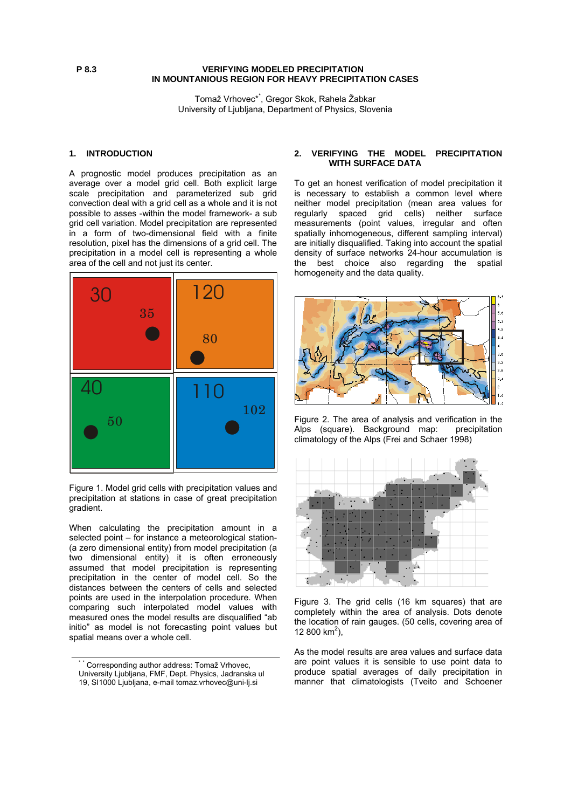## **P 8.3 VERIFYING MODELED PRECIPITATION IN MOUNTANIOUS REGION FOR HEAVY PRECIPITATION CASES**

Tomaž Vrhovec\*\* , Gregor Skok, Rahela Žabkar University of Ljubljana, Department of Physics, Slovenia

## **1. INTRODUCTION**

A prognostic model produces precipitation as an average over a model grid cell. Both explicit large scale precipitation and parameterized sub grid convection deal with a grid cell as a whole and it is not possible to asses -within the model framework- a sub grid cell variation. Model precipitation are represented in a form of two-dimensional field with a finite resolution, pixel has the dimensions of a grid cell. The precipitation in a model cell is representing a whole area of the cell and not just its center.



Figure 1. Model grid cells with precipitation values and precipitation at stations in case of great precipitation gradient.

When calculating the precipitation amount in a selected point – for instance a meteorological station- (a zero dimensional entity) from model precipitation (a two dimensional entity) it is often erroneously assumed that model precipitation is representing precipitation in the center of model cell. So the distances between the centers of cells and selected points are used in the interpolation procedure. When comparing such interpolated model values with measured ones the model results are disqualified "ab initio" as model is not forecasting point values but spatial means over a whole cell.

## **2. VERIFYING THE MODEL PRECIPITATION WITH SURFACE DATA**

To get an honest verification of model precipitation it is necessary to establish a common level where neither model precipitation (mean area values for regularly spaced grid cells) neither surface measurements (point values, irregular and often spatially inhomogeneous, different sampling interval) are initially disqualified. Taking into account the spatial density of surface networks 24-hour accumulation is the best choice also regarding the spatial homogeneity and the data quality.



Figure 2. The area of analysis and verification in the Alps (square). Background map: climatology of the Alps (Frei and Schaer 1998)



Figure 3. The grid cells (16 km squares) that are completely within the area of analysis. Dots denote the location of rain gauges. (50 cells, covering area of 12 800 km<sup>2</sup>),

As the model results are area values and surface data are point values it is sensible to use point data to produce spatial averages of daily precipitation in manner that climatologists (Tveito and Schoener

<sup>\*</sup> \* Corresponding author address: Tomaž Vrhovec, University Ljubljana, FMF, Dept. Physics, Jadranska ul 19, SI1000 Ljubljana, e-mail tomaz.vrhovec@uni-lj.si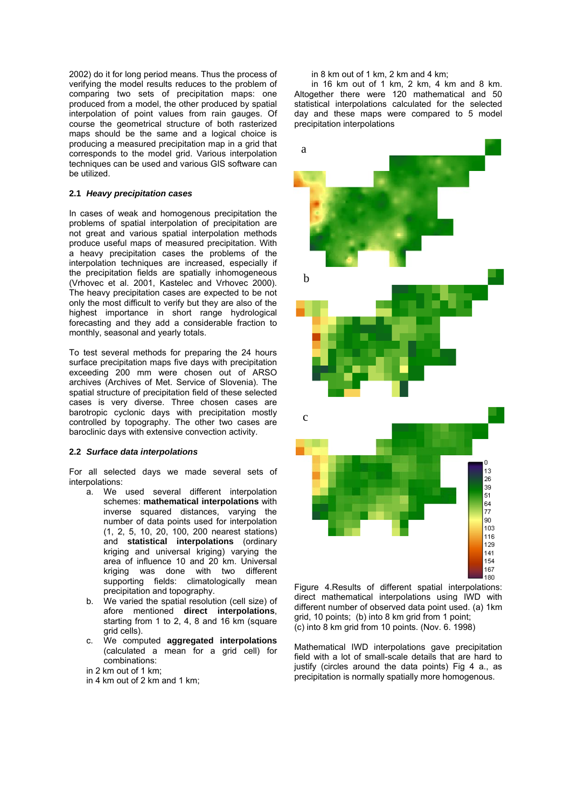2002) do it for long period means. Thus the process of verifying the model results reduces to the problem of comparing two sets of precipitation maps: one produced from a model, the other produced by spatial interpolation of point values from rain gauges. Of course the geometrical structure of both rasterized maps should be the same and a logical choice is producing a measured precipitation map in a grid that corresponds to the model grid. Various interpolation techniques can be used and various GIS software can be utilized.

## **2.1** *Heavy precipitation cases*

In cases of weak and homogenous precipitation the problems of spatial interpolation of precipitation are not great and various spatial interpolation methods produce useful maps of measured precipitation. With a heavy precipitation cases the problems of the interpolation techniques are increased, especially if the precipitation fields are spatially inhomogeneous (Vrhovec et al. 2001, Kastelec and Vrhovec 2000). The heavy precipitation cases are expected to be not only the most difficult to verify but they are also of the highest importance in short range hydrological forecasting and they add a considerable fraction to monthly, seasonal and yearly totals.

To test several methods for preparing the 24 hours surface precipitation maps five days with precipitation exceeding 200 mm were chosen out of ARSO archives (Archives of Met. Service of Slovenia). The spatial structure of precipitation field of these selected cases is very diverse. Three chosen cases are barotropic cyclonic days with precipitation mostly controlled by topography. The other two cases are baroclinic days with extensive convection activity.

### **.2** *Surface data interpolations* **2**

For all selected days we made several sets of interpolations:

- a. We used several different interpolation schemes: **mathematical interpolations** with inverse squared distances, varying the number of data points used for interpolation (1, 2, 5, 10, 20, 100, 200 nearest stations) and **statistical interpolations** (ordinary kriging and universal kriging) varying the area of influence 10 and 20 km. Universal kriging was done with two different supporting fields: climatologically mean precipitation and topography.
- b. We varied the spatial resolution (cell size) of afore mentioned **direct interpolations**, starting from 1 to 2, 4, 8 and 16 km (square grid cells).
- c. We computed aggregated interpolations (calculated a mean for a grid cell) for combinations:
- in 2 km out of 1 km;

in 4 km out of 2 km and 1 km;

#### in 8 km out of 1 km, 2 km and 4 km;

in 16 km out of 1 km, 2 km, 4 km and 8 km. Alto gether there were 120 mathematical and 50 statistical interpolations calculated for the selected day and these maps were compared to 5 model precipitation interpolations



Figure 4.Results of different spatial interpolations: direct mathematical interpolations using IWD with different number of observed data point used. (a) 1km grid, 10 points; (b) into 8 km grid from 1 point; (c) into 8 km grid from 10 points. (Nov. 6. 1998)

Mathematical IWD interpolations gave precipitation precipitation is normally spatially more homogenous. field with a lot of small-scale details that are hard to justify (circles around the data points) Fig 4 a., as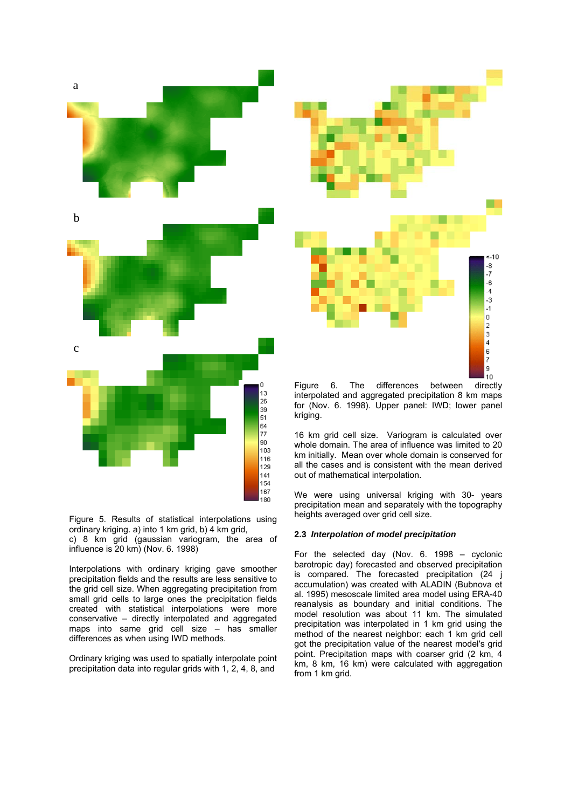

Figure 5. Results of statistical interpolations using ordinary kriging. a) into 1 km grid, b) 4 km grid,

c) 8 km grid (gaussian variogram, the area of influence is 20 km) (Nov. 6. 1998)

precipitation fields and the results are less sensitive to the grid cell size. When aggregating precipitation from Interpolations with ordinary kriging gave smoother small grid cells to large ones the precipitation fields created with statistical interpolations were more conservative – directly interpolated and aggregated maps into same grid cell size – has smaller differences as when using IWD methods.

precipitation data into regular grids with 1, 2, 4, 8, and Ordinary kriging was used to spatially interpolate point



Figure 6. The differences between directly interpolated and aggregated precipitation 8 km maps for (Nov. 6. 1998). Upper panel: IWD; lower panel kriging.

km initially. Mean over whole domain is conserved for all the cases and is consistent with the mean derived 16 km grid cell size. Variogram is calculated over whole domain. The area of influence was limited to 20 out of mathematical interpolation.

. heights averaged over grid cell size We were using universal kriging with 30- years precipitation mean and separately with the topography

# **2.3** *Interpolation of model precipitation*

For the selected day (Nov. 6. 1998 – cyclonic barotropic day) forecasted and observed precipitation is compared. The forecasted precipitation (24 j accumulation) was created with ALADIN (Bubnova et al. 1995) mesoscale limited area model using ERA-40 reanalysis as boundary and initial conditions. The model resolution was about 11 km. The simulated precipitation was interpolated in 1 km grid using the method of the nearest neighbor: each 1 km grid cell got the precipitation value of the nearest model's grid point. Precipitation maps with coarser grid (2 km, 4 km, 8 km, 16 km) were calculated with aggregation from 1 km grid.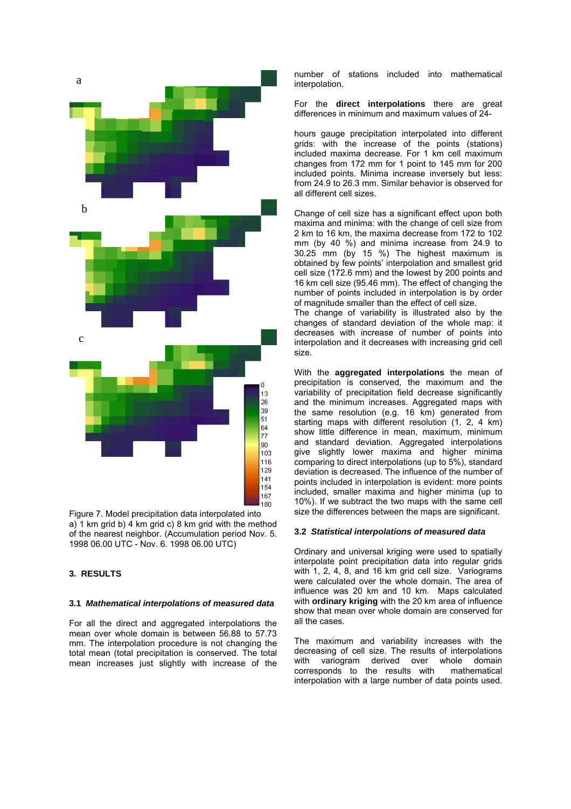

Figure 7. Model precipitation data interpolated into a) 1 km grid b) 4 km grid c) 8 km grid with the method of the nearest neighbor. (Accumulation period Nov. 5. 1998 06.00 UTC - Nov. 6. 1998 06.00 UTC)

# **3. RESULTS**

#### **.1** *Mathematical interpolations of measured data*  **3**

For all the direct and aggregated interpolations the mean over whole domain is between 56.88 to 57.73 mm. The interpolation procedure is not changing the mean increases just slightly with increase of the total mean (total precipitation is conserved. The total

number of stations included into mathematical interpolation.

For the **direct interpolations** there are great differences in minimum and maximum values of 24-

hours gauge precipitation interpolated into different grids: with the increase of the points (stations) 0 changes from 172 mm for 1 point to 145 mm for 20 included points. Minima increase inversely but less: included maxima decrease. For 1 km cell maximum from 24.9 to 26.3 mm. Similar behavior is observed for all different cell sizes.

mm (by 40 %) and minima increase from 24.9 to 0.25 mm (by 15 %) The highest maximum is 3 Change of cell size has a significant effect upon both maxima and minima: with the change of cell size from 2 km to 16 km, the maxima decrease from 172 to 102 obtained by few points' interpolation and smallest grid cell size (172.6 mm) and the lowest by 200 points and 16 km cell size (95.46 mm). The effect of changing the number of points included in interpolation is by order of magnitude smaller than the effect of cell size. The change of variability is illustrated also by the

changes of standard deviation of the whole map: it decreases with increase of number of points into interpolation and it decreases with increasing grid cell size.

and the minimum increases. Aggregated maps with the same resolution (e.g. 16 km) generated from With the **aggregated interpolations** the mean of precipitation is conserved, the maximum and the variability of precipitation field decrease significantly starting maps with different resolution (1, 2, 4 km) show little difference in mean, maximum, minimum and standard deviation. Aggregated interpolations give slightly lower maxima and higher minima comparing to direct interpolations (up to 5%), standard deviation is decreased. The influence of the number of points included in interpolation is evident: more points included, smaller maxima and higher minima (up to 10%). If we subtract the two maps with the same cell size the differences between the maps are significant.

### **3.2** *Statistical interpolations of measured data*

with 1, 2, 4, 8, and 16 km grid cell size. Variograms were calculated over the whole domain. The area of influence was 20 km and 10 km. Maps calculated Ordinary and universal kriging were used to spatially interpolate point precipitation data into regular grids with **ordinary kriging** with the 20 km area of influence show that mean over whole domain are conserved for all the cases.

corresponds to the results with mathematical interpolation with a large number of data points used. The maximum and variability increases with the decreasing of cell size. The results of interpolations with variogram derived over whole domain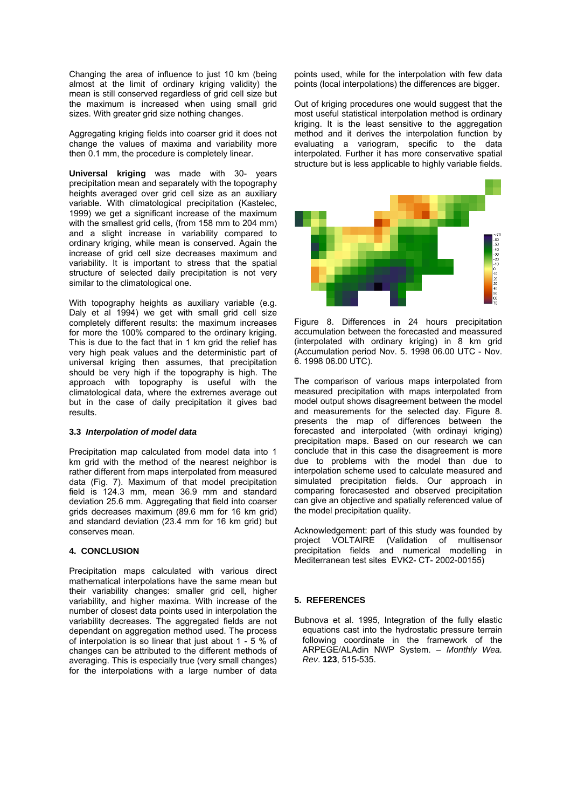Changing the area of influence to just 10 km (being almost at the limit of ordinary kriging validity) the mean is still conserved regardless of grid cell size but the maximum is increased when using small grid sizes. With greater grid size nothing changes.

Aggregating kriging fields into coarser grid it does not change the values of maxima and variability more then 0.1 mm, the procedure is completely linear.

**Universal kriging** was made with 30- years variable. With climatological precipitation (Kastelec, 1999) we get a significant increase of the maximum precipitation mean and separately with the topography heights averaged over grid cell size as an auxiliary with the smallest grid cells, (from 158 mm to 204 mm) and a slight increase in variability compared to ordinary kriging, while mean is conserved. Again the increase of grid cell size decreases maximum and variability. It is important to stress that the spatial structure of selected daily precipitation is not very similar to the climatological one.

for more the 100% compared to the ordinary kriging. This is due to the fact that in 1 km grid the relief has With topography heights as auxiliary variable (e.g. Daly et al 1994) we get with small grid cell size completely different results: the maximum increases very high peak values and the deterministic part of universal kriging then assumes, that precipitation should be very high if the topography is high. The approach with topography is useful with the climatological data, where the extremes average out but in the case of daily precipitation it gives bad results.

### **3.3** *Interpolation of model data*

km grid with the method of the nearest neighbor is rather different from maps interpolated from measured data (Fig. 7). Maximum of that model precipitation field is 124.3 mm, mean 36.9 mm and standard Precipitation map calculated from model data into 1 deviation 25.6 mm. Aggregating that field into coarser grids decreases maximum (89.6 mm for 16 km grid) and standard deviation (23.4 mm for 16 km grid) but conserves mean.

## **4. CONCLUSION**

mathematical interpolations have the same mean but their variability changes: smaller grid cell, higher variability, and higher maxima. With increase of the number of closest data points used in interpolation the Precipitation maps calculated with various direct variability decreases. The aggregated fields are not dependant on aggregation method used. The process of interpolation is so linear that just about 1 - 5 % of changes can be attributed to the different methods of averaging. This is especially true (very small changes) for the interpolations with a large number of data points used, while for the interpolation with few data points (local interpolations) the differences are bigger.

method and it derives the interpolation function by Out of kriging procedures one would suggest that the most useful statistical interpolation method is ordinary kriging. It is the least sensitive to the aggregation evaluating a variogram, specific to the data interpolated. Further it has more conservative spatial structure but is less applicable to highly variable fields.



Figure 8. Differences in 24 hours precipitation accumulation between the forecasted and meassured (interpolated with ordinary kriging) in 8 km grid (Accumulation period Nov. 5. 1998 06.00 UTC - Nov. 6. 1998 06.00 UTC).

model output shows disagreement between the model and measurements for the selected day. Figure 8. The comparison of various maps interpolated from measured precipitation with maps interpolated from presents the map of differences between the forecasted and interpolated (with ordinayi kriging) precipitation maps. Based on our research we can conclude that in this case the disagreement is more due to problems with the model than due to interpolation scheme used to calculate measured and simulated precipitation fields. Our approach in comparing forecasested and observed precipitation can give an objective and spatially referenced value of the model precipitation quality.

precipitation fields and numerical modelling in Mediterranean test sites EVK2- CT- 2002-00155) Acknowledgement: part of this study was founded by project VOLTAIRE (Validation of multisensor

### **5. REFERENCES**

Bubnova et al. 1995, Integration of the fully elastic equations cast into the hydrostatic pressure terrain following coordinate in the framework of the ARPEGE/ALAdin NWP System. – *Monthly Wea. Rev*. **123**, 515-535.